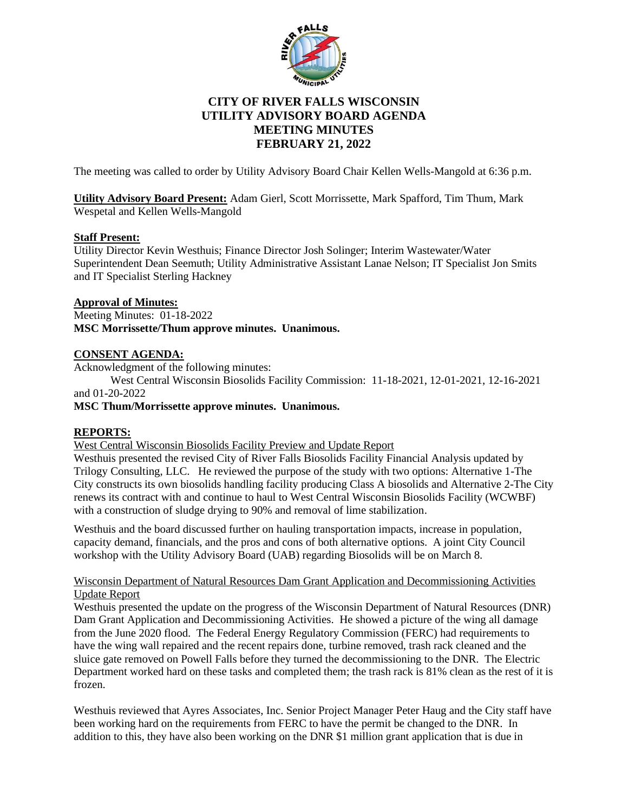

# **CITY OF RIVER FALLS WISCONSIN UTILITY ADVISORY BOARD AGENDA MEETING MINUTES FEBRUARY 21, 2022**

The meeting was called to order by Utility Advisory Board Chair Kellen Wells-Mangold at 6:36 p.m.

**Utility Advisory Board Present:** Adam Gierl, Scott Morrissette, Mark Spafford, Tim Thum, Mark Wespetal and Kellen Wells-Mangold

## **Staff Present:**

Utility Director Kevin Westhuis; Finance Director Josh Solinger; Interim Wastewater/Water Superintendent Dean Seemuth; Utility Administrative Assistant Lanae Nelson; IT Specialist Jon Smits and IT Specialist Sterling Hackney

## **Approval of Minutes:**

Meeting Minutes: 01-18-2022 **MSC Morrissette/Thum approve minutes. Unanimous.**

## **CONSENT AGENDA:**

Acknowledgment of the following minutes:

West Central Wisconsin Biosolids Facility Commission: 11-18-2021, 12-01-2021, 12-16-2021 and 01-20-2022

**MSC Thum/Morrissette approve minutes. Unanimous.**

## **REPORTS:**

West Central Wisconsin Biosolids Facility Preview and Update Report

Westhuis presented the revised City of River Falls Biosolids Facility Financial Analysis updated by Trilogy Consulting, LLC. He reviewed the purpose of the study with two options: Alternative 1-The City constructs its own biosolids handling facility producing Class A biosolids and Alternative 2-The City renews its contract with and continue to haul to West Central Wisconsin Biosolids Facility (WCWBF) with a construction of sludge drying to 90% and removal of lime stabilization.

Westhuis and the board discussed further on hauling transportation impacts, increase in population, capacity demand, financials, and the pros and cons of both alternative options. A joint City Council workshop with the Utility Advisory Board (UAB) regarding Biosolids will be on March 8.

### Wisconsin Department of Natural Resources Dam Grant Application and Decommissioning Activities Update Report

Westhuis presented the update on the progress of the Wisconsin Department of Natural Resources (DNR) Dam Grant Application and Decommissioning Activities. He showed a picture of the wing all damage from the June 2020 flood. The Federal Energy Regulatory Commission (FERC) had requirements to have the wing wall repaired and the recent repairs done, turbine removed, trash rack cleaned and the sluice gate removed on Powell Falls before they turned the decommissioning to the DNR. The Electric Department worked hard on these tasks and completed them; the trash rack is 81% clean as the rest of it is frozen.

Westhuis reviewed that Ayres Associates, Inc. Senior Project Manager Peter Haug and the City staff have been working hard on the requirements from FERC to have the permit be changed to the DNR. In addition to this, they have also been working on the DNR \$1 million grant application that is due in